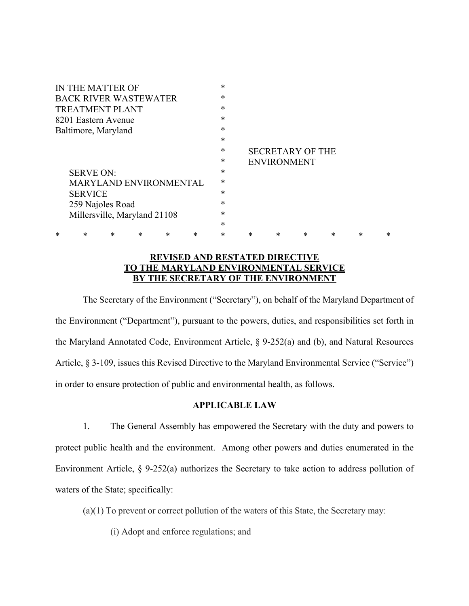| IN THE MATTER OF              | $\ast$ |                         |        |   |   |   |   |
|-------------------------------|--------|-------------------------|--------|---|---|---|---|
| <b>BACK RIVER WASTEWATER</b>  | $\ast$ |                         |        |   |   |   |   |
| <b>TREATMENT PLANT</b>        | $\ast$ |                         |        |   |   |   |   |
| 8201 Eastern Avenue           | $\ast$ |                         |        |   |   |   |   |
| Baltimore, Maryland           | $\ast$ |                         |        |   |   |   |   |
|                               | $\ast$ |                         |        |   |   |   |   |
|                               | $\ast$ | <b>SECRETARY OF THE</b> |        |   |   |   |   |
|                               | *      | <b>ENVIRONMENT</b>      |        |   |   |   |   |
| <b>SERVE ON:</b>              | $\ast$ |                         |        |   |   |   |   |
| <b>MARYLAND ENVIRONMENTAL</b> | $\ast$ |                         |        |   |   |   |   |
| <b>SERVICE</b>                | $\ast$ |                         |        |   |   |   |   |
| 259 Najoles Road              | *      |                         |        |   |   |   |   |
| Millersville, Maryland 21108  | $\ast$ |                         |        |   |   |   |   |
|                               | $\ast$ |                         |        |   |   |   |   |
| *<br>*<br>*<br>*<br>*<br>*    | ж      | *                       | $\ast$ | * | * | * | * |

## **REVISED AND RESTATED DIRECTIVE TO THE MARYLAND ENVIRONMENTAL SERVICE BY THE SECRETARY OF THE ENVIRONMENT**

The Secretary of the Environment ("Secretary"), on behalf of the Maryland Department of the Environment ("Department"), pursuant to the powers, duties, and responsibilities set forth in the Maryland Annotated Code, Environment Article, § 9-252(a) and (b), and Natural Resources Article, § 3-109, issues this Revised Directive to the Maryland Environmental Service ("Service") in order to ensure protection of public and environmental health, as follows.

## **APPLICABLE LAW**

1. The General Assembly has empowered the Secretary with the duty and powers to protect public health and the environment. Among other powers and duties enumerated in the Environment Article, § 9-252(a) authorizes the Secretary to take action to address pollution of waters of the State; specifically:

(a)(1) To prevent or correct pollution of the waters of this State, the Secretary may:

(i) Adopt and enforce regulations; and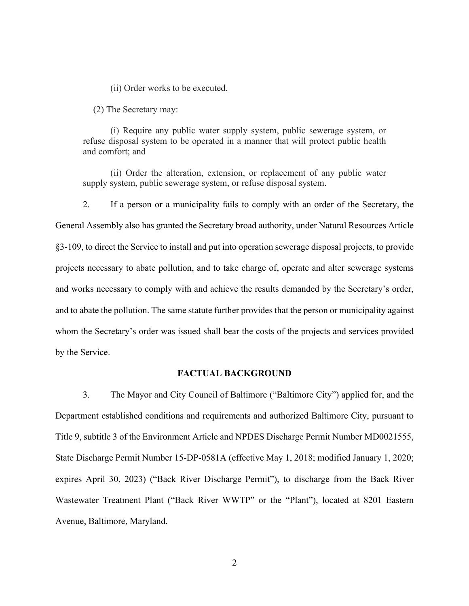(ii) Order works to be executed.

(2) The Secretary may:

(i) Require any public water supply system, public sewerage system, or refuse disposal system to be operated in a manner that will protect public health and comfort; and

(ii) Order the alteration, extension, or replacement of any public water supply system, public sewerage system, or refuse disposal system.

2. If a person or a municipality fails to comply with an order of the Secretary, the General Assembly also has granted the Secretary broad authority, under Natural Resources Article §3-109, to direct the Service to install and put into operation sewerage disposal projects, to provide projects necessary to abate pollution, and to take charge of, operate and alter sewerage systems and works necessary to comply with and achieve the results demanded by the Secretary's order, and to abate the pollution. The same statute further provides that the person or municipality against whom the Secretary's order was issued shall bear the costs of the projects and services provided by the Service.

## **FACTUAL BACKGROUND**

3. The Mayor and City Council of Baltimore ("Baltimore City") applied for, and the Department established conditions and requirements and authorized Baltimore City, pursuant to Title 9, subtitle 3 of the Environment Article and NPDES Discharge Permit Number MD0021555, State Discharge Permit Number 15-DP-0581A (effective May 1, 2018; modified January 1, 2020; expires April 30, 2023) ("Back River Discharge Permit"), to discharge from the Back River Wastewater Treatment Plant ("Back River WWTP" or the "Plant"), located at 8201 Eastern Avenue, Baltimore, Maryland.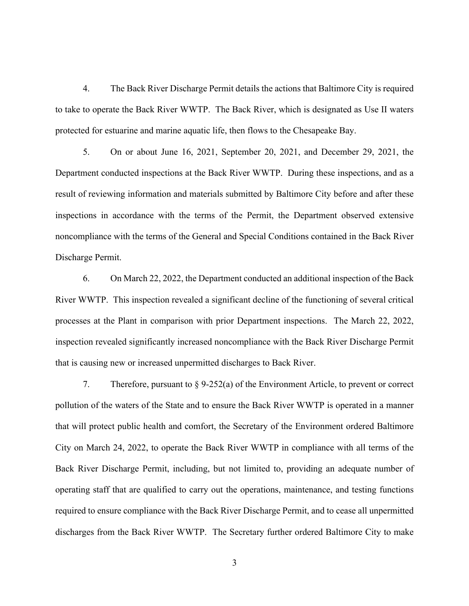4. The Back River Discharge Permit details the actions that Baltimore City is required to take to operate the Back River WWTP. The Back River, which is designated as Use II waters protected for estuarine and marine aquatic life, then flows to the Chesapeake Bay.

5. On or about June 16, 2021, September 20, 2021, and December 29, 2021, the Department conducted inspections at the Back River WWTP. During these inspections, and as a result of reviewing information and materials submitted by Baltimore City before and after these inspections in accordance with the terms of the Permit, the Department observed extensive noncompliance with the terms of the General and Special Conditions contained in the Back River Discharge Permit.

6. On March 22, 2022, the Department conducted an additional inspection of the Back River WWTP. This inspection revealed a significant decline of the functioning of several critical processes at the Plant in comparison with prior Department inspections. The March 22, 2022, inspection revealed significantly increased noncompliance with the Back River Discharge Permit that is causing new or increased unpermitted discharges to Back River.

7. Therefore, pursuant to  $\S 9-252(a)$  of the Environment Article, to prevent or correct pollution of the waters of the State and to ensure the Back River WWTP is operated in a manner that will protect public health and comfort, the Secretary of the Environment ordered Baltimore City on March 24, 2022, to operate the Back River WWTP in compliance with all terms of the Back River Discharge Permit, including, but not limited to, providing an adequate number of operating staff that are qualified to carry out the operations, maintenance, and testing functions required to ensure compliance with the Back River Discharge Permit, and to cease all unpermitted discharges from the Back River WWTP. The Secretary further ordered Baltimore City to make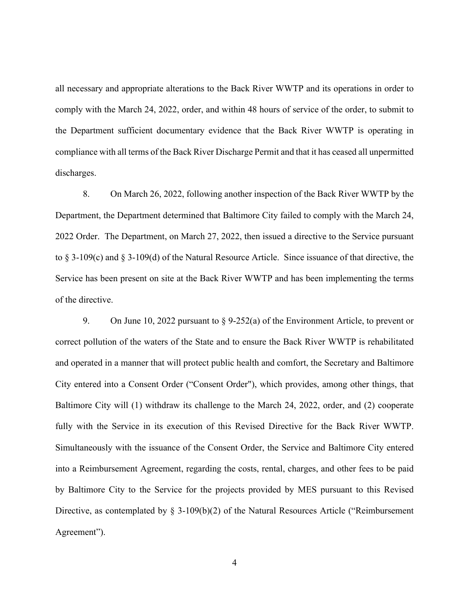all necessary and appropriate alterations to the Back River WWTP and its operations in order to comply with the March 24, 2022, order, and within 48 hours of service of the order, to submit to the Department sufficient documentary evidence that the Back River WWTP is operating in compliance with all terms of the Back River Discharge Permit and that it has ceased all unpermitted discharges.

8. On March 26, 2022, following another inspection of the Back River WWTP by the Department, the Department determined that Baltimore City failed to comply with the March 24, 2022 Order. The Department, on March 27, 2022, then issued a directive to the Service pursuant to § 3-109(c) and § 3-109(d) of the Natural Resource Article. Since issuance of that directive, the Service has been present on site at the Back River WWTP and has been implementing the terms of the directive.

9. On June 10, 2022 pursuant to § 9-252(a) of the Environment Article, to prevent or correct pollution of the waters of the State and to ensure the Back River WWTP is rehabilitated and operated in a manner that will protect public health and comfort, the Secretary and Baltimore City entered into a Consent Order ("Consent Order"), which provides, among other things, that Baltimore City will (1) withdraw its challenge to the March 24, 2022, order, and (2) cooperate fully with the Service in its execution of this Revised Directive for the Back River WWTP. Simultaneously with the issuance of the Consent Order, the Service and Baltimore City entered into a Reimbursement Agreement, regarding the costs, rental, charges, and other fees to be paid by Baltimore City to the Service for the projects provided by MES pursuant to this Revised Directive, as contemplated by § 3-109(b)(2) of the Natural Resources Article ("Reimbursement Agreement").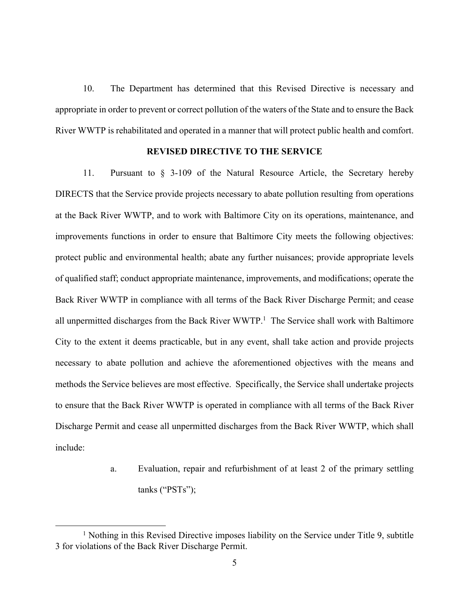10. The Department has determined that this Revised Directive is necessary and appropriate in order to prevent or correct pollution of the waters of the State and to ensure the Back River WWTP is rehabilitated and operated in a manner that will protect public health and comfort.

## **REVISED DIRECTIVE TO THE SERVICE**

11. Pursuant to § 3-109 of the Natural Resource Article, the Secretary hereby DIRECTS that the Service provide projects necessary to abate pollution resulting from operations at the Back River WWTP, and to work with Baltimore City on its operations, maintenance, and improvements functions in order to ensure that Baltimore City meets the following objectives: protect public and environmental health; abate any further nuisances; provide appropriate levels of qualified staff; conduct appropriate maintenance, improvements, and modifications; operate the Back River WWTP in compliance with all terms of the Back River Discharge Permit; and cease all unpermitted discharges from the Back River WWTP.<sup>1</sup> The Service shall work with Baltimore City to the extent it deems practicable, but in any event, shall take action and provide projects necessary to abate pollution and achieve the aforementioned objectives with the means and methods the Service believes are most effective. Specifically, the Service shall undertake projects to ensure that the Back River WWTP is operated in compliance with all terms of the Back River Discharge Permit and cease all unpermitted discharges from the Back River WWTP, which shall include:

> a. Evaluation, repair and refurbishment of at least 2 of the primary settling tanks ("PSTs");

<sup>&</sup>lt;sup>1</sup> Nothing in this Revised Directive imposes liability on the Service under Title 9, subtitle 3 for violations of the Back River Discharge Permit.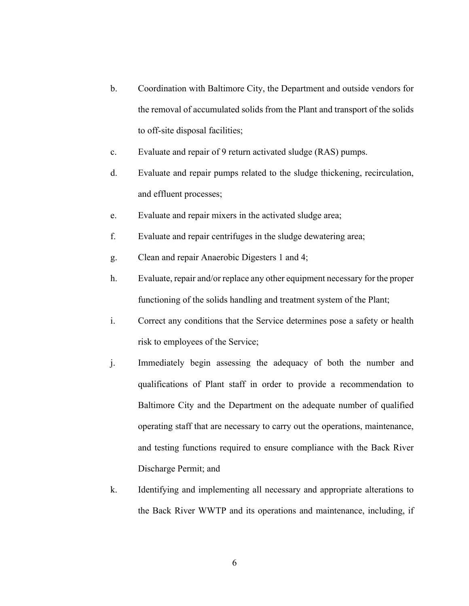- b. Coordination with Baltimore City, the Department and outside vendors for the removal of accumulated solids from the Plant and transport of the solids to off-site disposal facilities;
- c. Evaluate and repair of 9 return activated sludge (RAS) pumps.
- d. Evaluate and repair pumps related to the sludge thickening, recirculation, and effluent processes;
- e. Evaluate and repair mixers in the activated sludge area;
- f. Evaluate and repair centrifuges in the sludge dewatering area;
- g. Clean and repair Anaerobic Digesters 1 and 4;
- h. Evaluate, repair and/or replace any other equipment necessary for the proper functioning of the solids handling and treatment system of the Plant;
- i. Correct any conditions that the Service determines pose a safety or health risk to employees of the Service;
- j. Immediately begin assessing the adequacy of both the number and qualifications of Plant staff in order to provide a recommendation to Baltimore City and the Department on the adequate number of qualified operating staff that are necessary to carry out the operations, maintenance, and testing functions required to ensure compliance with the Back River Discharge Permit; and
- k. Identifying and implementing all necessary and appropriate alterations to the Back River WWTP and its operations and maintenance, including, if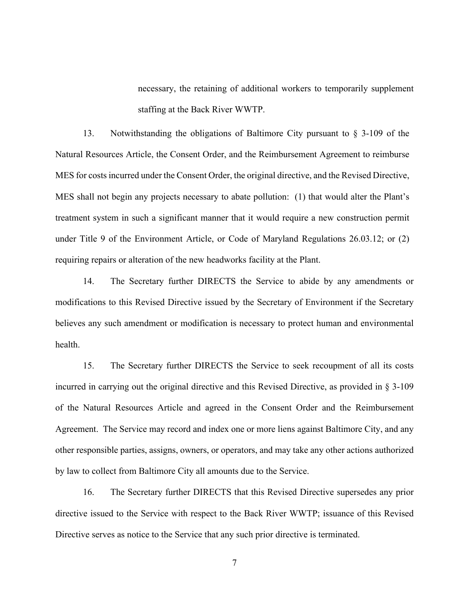necessary, the retaining of additional workers to temporarily supplement staffing at the Back River WWTP.

13. Notwithstanding the obligations of Baltimore City pursuant to § 3-109 of the Natural Resources Article, the Consent Order, and the Reimbursement Agreement to reimburse MES for costs incurred under the Consent Order, the original directive, and the Revised Directive, MES shall not begin any projects necessary to abate pollution: (1) that would alter the Plant's treatment system in such a significant manner that it would require a new construction permit under Title 9 of the Environment Article, or Code of Maryland Regulations 26.03.12; or (2) requiring repairs or alteration of the new headworks facility at the Plant.

14. The Secretary further DIRECTS the Service to abide by any amendments or modifications to this Revised Directive issued by the Secretary of Environment if the Secretary believes any such amendment or modification is necessary to protect human and environmental health.

15. The Secretary further DIRECTS the Service to seek recoupment of all its costs incurred in carrying out the original directive and this Revised Directive, as provided in § 3-109 of the Natural Resources Article and agreed in the Consent Order and the Reimbursement Agreement. The Service may record and index one or more liens against Baltimore City, and any other responsible parties, assigns, owners, or operators, and may take any other actions authorized by law to collect from Baltimore City all amounts due to the Service.

16. The Secretary further DIRECTS that this Revised Directive supersedes any prior directive issued to the Service with respect to the Back River WWTP; issuance of this Revised Directive serves as notice to the Service that any such prior directive is terminated.

7